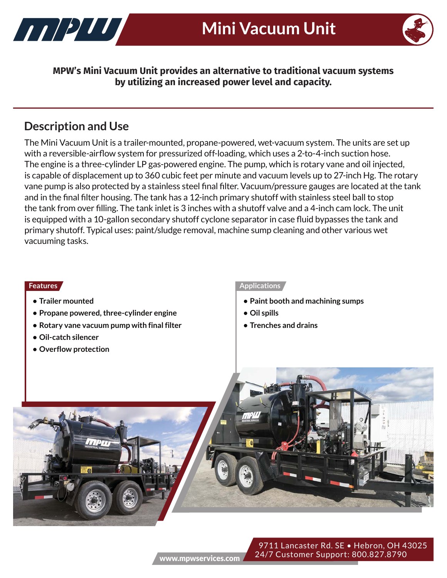



**MPW's Mini Vacuum Unit provides an alternative to traditional vacuum systems by utilizing an increased power level and capacity.** 

# **Description and Use**

The Mini Vacuum Unit is a trailer-mounted, propane-powered, wet-vacuum system. The units are set up with a reversible-airflow system for pressurized off-loading, which uses a 2-to-4-inch suction hose. The engine is a three-cylinder LP gas-powered engine. The pump, which is rotary vane and oil injected, is capable of displacement up to 360 cubic feet per minute and vacuum levels up to 27-inch Hg. The rotary vane pump is also protected by a stainless steel final filter. Vacuum/pressure gauges are located at the tank and in the final filter housing. The tank has a 12-inch primary shutoff with stainless steel ball to stop the tank from over filling. The tank inlet is 3 inches with a shutoff valve and a 4-inch cam lock. The unit is equipped with a 10-gallon secondary shutoff cyclone separator in case fluid bypasses the tank and primary shutoff. Typical uses: paint/sludge removal, machine sump cleaning and other various wet vacuuming tasks.

- **Trailer mounted**
- **Propane powered, three-cylinder engine**
- **Rotary vane vacuum pump with final filter**
- **Oil-catch silencer**
- **Overflow protection**

### **Features Applications**

- **Paint booth and machining sumps**
- **Oil spills**
- **Trenches and drains**